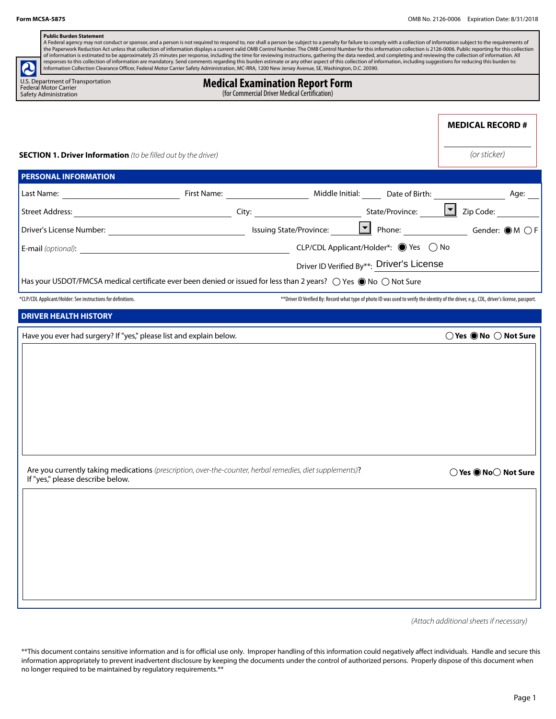| <b>SECTION 1. Driver Information</b> (to be filled out by the driver) |                                                                     |                                                                                                                                                                                                      | <b>MEDICAL RECORD#</b><br>(or sticker)                                                                                                                                                                                                                                                                                                                                                                                                                                                                                                                                                                                                                                                                                                                                                                                                                                                                                                                                                                                                                                                                                                                                                                                                                                                                                                                                                             |
|-----------------------------------------------------------------------|---------------------------------------------------------------------|------------------------------------------------------------------------------------------------------------------------------------------------------------------------------------------------------|----------------------------------------------------------------------------------------------------------------------------------------------------------------------------------------------------------------------------------------------------------------------------------------------------------------------------------------------------------------------------------------------------------------------------------------------------------------------------------------------------------------------------------------------------------------------------------------------------------------------------------------------------------------------------------------------------------------------------------------------------------------------------------------------------------------------------------------------------------------------------------------------------------------------------------------------------------------------------------------------------------------------------------------------------------------------------------------------------------------------------------------------------------------------------------------------------------------------------------------------------------------------------------------------------------------------------------------------------------------------------------------------------|
|                                                                       |                                                                     |                                                                                                                                                                                                      |                                                                                                                                                                                                                                                                                                                                                                                                                                                                                                                                                                                                                                                                                                                                                                                                                                                                                                                                                                                                                                                                                                                                                                                                                                                                                                                                                                                                    |
|                                                                       |                                                                     |                                                                                                                                                                                                      |                                                                                                                                                                                                                                                                                                                                                                                                                                                                                                                                                                                                                                                                                                                                                                                                                                                                                                                                                                                                                                                                                                                                                                                                                                                                                                                                                                                                    |
|                                                                       |                                                                     |                                                                                                                                                                                                      |                                                                                                                                                                                                                                                                                                                                                                                                                                                                                                                                                                                                                                                                                                                                                                                                                                                                                                                                                                                                                                                                                                                                                                                                                                                                                                                                                                                                    |
|                                                                       |                                                                     |                                                                                                                                                                                                      |                                                                                                                                                                                                                                                                                                                                                                                                                                                                                                                                                                                                                                                                                                                                                                                                                                                                                                                                                                                                                                                                                                                                                                                                                                                                                                                                                                                                    |
|                                                                       |                                                                     |                                                                                                                                                                                                      |                                                                                                                                                                                                                                                                                                                                                                                                                                                                                                                                                                                                                                                                                                                                                                                                                                                                                                                                                                                                                                                                                                                                                                                                                                                                                                                                                                                                    |
|                                                                       |                                                                     |                                                                                                                                                                                                      |                                                                                                                                                                                                                                                                                                                                                                                                                                                                                                                                                                                                                                                                                                                                                                                                                                                                                                                                                                                                                                                                                                                                                                                                                                                                                                                                                                                                    |
|                                                                       |                                                                     |                                                                                                                                                                                                      |                                                                                                                                                                                                                                                                                                                                                                                                                                                                                                                                                                                                                                                                                                                                                                                                                                                                                                                                                                                                                                                                                                                                                                                                                                                                                                                                                                                                    |
|                                                                       |                                                                     |                                                                                                                                                                                                      |                                                                                                                                                                                                                                                                                                                                                                                                                                                                                                                                                                                                                                                                                                                                                                                                                                                                                                                                                                                                                                                                                                                                                                                                                                                                                                                                                                                                    |
|                                                                       |                                                                     |                                                                                                                                                                                                      | $\bigcirc$ Yes $\bigcirc$ No $\bigcirc$ Not Sure<br>◯ Yes ● No○ Not Sure                                                                                                                                                                                                                                                                                                                                                                                                                                                                                                                                                                                                                                                                                                                                                                                                                                                                                                                                                                                                                                                                                                                                                                                                                                                                                                                           |
|                                                                       |                                                                     |                                                                                                                                                                                                      |                                                                                                                                                                                                                                                                                                                                                                                                                                                                                                                                                                                                                                                                                                                                                                                                                                                                                                                                                                                                                                                                                                                                                                                                                                                                                                                                                                                                    |
|                                                                       | Have you ever had surgery? If "yes," please list and explain below. | <b>Medical Examination Report Form</b><br>(for Commercial Driver Medical Certification)<br>Are you currently taking medications (prescription, over-the-counter, herbal remedies, diet supplements)? | A Federal agency may not conduct or sponsor, and a person is not required to respond to, nor shall a person be subject to a penalty for failure to comply with a collection of information subject to the requirements of<br>the Paperwork Reduction Act unless that collection of information displays a current valid OMB Control Number. The OMB Control Number for this information collection is 2126-0006. Public reporting for this collection<br>of information is estimated to be approximately 25 minutes per response, including the time for reviewing instructions, gathering the data needed, and completing and reviewing the collection of information. All<br>responses to this collection of information are mandatory. Send comments regarding this burden estimate or any other aspect of this collection of information, including suggestions for reducing this burden to:<br>Information Collection Clearance Officer, Federal Motor Carrier Safety Administration, MC-RRA, 1200 New Jersey Avenue, SE, Washington, D.C. 20590.<br>Driver ID Verified By**: Driver's License<br>Has your USDOT/FMCSA medical certificate ever been denied or issued for less than 2 years? $\bigcirc$ Yes $\bigcirc$ No $\bigcirc$ Not Sure<br>** Driver ID Verified By: Record what type of photo ID was used to verify the identity of the driver, e.g., CDL, driver's license, passport. |

\*\*This document contains sensitive information and is for official use only. Improper handling of this information could negatively affect individuals. Handle and secure this information appropriately to prevent inadvertent disclosure by keeping the documents under the control of authorized persons. Properly dispose of this document when no longer required to be maintained by regulatory requirements.\*\*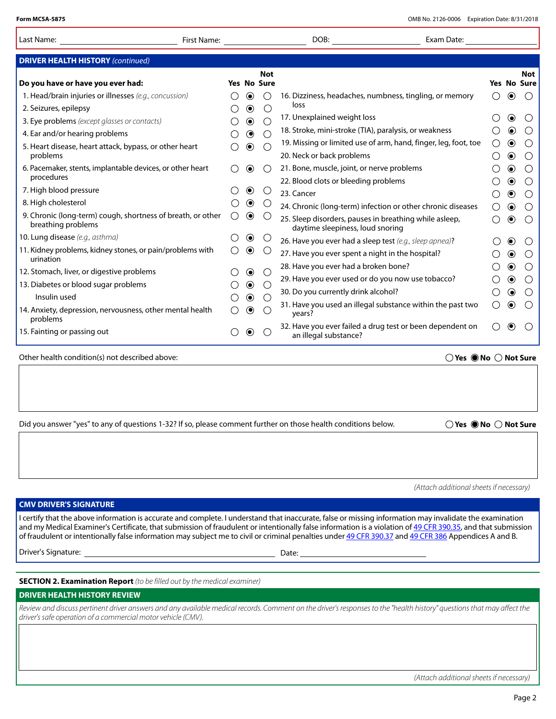| Last Name:                                                                                                     | First Name: |   |                          |                                             | DOB:<br>Exam Date:                                                                                                                                                                                                                                                                                                                                                                                                                                                                |    |                             |                          |
|----------------------------------------------------------------------------------------------------------------|-------------|---|--------------------------|---------------------------------------------|-----------------------------------------------------------------------------------------------------------------------------------------------------------------------------------------------------------------------------------------------------------------------------------------------------------------------------------------------------------------------------------------------------------------------------------------------------------------------------------|----|-----------------------------|--------------------------|
| <b>DRIVER HEALTH HISTORY (continued)</b>                                                                       |             |   |                          |                                             |                                                                                                                                                                                                                                                                                                                                                                                                                                                                                   |    |                             |                          |
|                                                                                                                |             |   |                          | Not                                         |                                                                                                                                                                                                                                                                                                                                                                                                                                                                                   |    |                             | Not                      |
| Do you have or have you ever had:                                                                              |             |   |                          | Yes No Sure                                 |                                                                                                                                                                                                                                                                                                                                                                                                                                                                                   |    |                             | Yes No Sure              |
| 1. Head/brain injuries or illnesses (e.g., concussion)                                                         |             |   | $\odot$                  |                                             | 16. Dizziness, headaches, numbness, tingling, or memory                                                                                                                                                                                                                                                                                                                                                                                                                           |    | $\left( \bullet \right)$    |                          |
| 2. Seizures, epilepsy                                                                                          |             |   | $\odot$                  | С                                           | loss                                                                                                                                                                                                                                                                                                                                                                                                                                                                              |    |                             |                          |
| 3. Eye problems (except glasses or contacts)                                                                   |             |   | $\odot$                  | $\left(\begin{array}{c} \end{array}\right)$ | 17. Unexplained weight loss                                                                                                                                                                                                                                                                                                                                                                                                                                                       |    | $\odot$                     | $\left(\right)$          |
| 4. Ear and/or hearing problems                                                                                 |             |   | $\odot$                  | $\bigcap$                                   | 18. Stroke, mini-stroke (TIA), paralysis, or weakness                                                                                                                                                                                                                                                                                                                                                                                                                             |    | $\odot$                     | ( )                      |
| 5. Heart disease, heart attack, bypass, or other heart<br>problems                                             |             |   | $\circledbullet$         | $\bigcirc$                                  | 19. Missing or limited use of arm, hand, finger, leg, foot, toe<br>20. Neck or back problems                                                                                                                                                                                                                                                                                                                                                                                      |    | $\odot$<br>$\circledbullet$ | ()<br>◯                  |
| 6. Pacemaker, stents, implantable devices, or other heart<br>procedures                                        |             |   | $\odot$                  | $\left(\right)$                             | 21. Bone, muscle, joint, or nerve problems                                                                                                                                                                                                                                                                                                                                                                                                                                        |    | $\circledcirc$              | O                        |
| 7. High blood pressure                                                                                         |             |   | $\bigcirc$               | C                                           | 22. Blood clots or bleeding problems<br>23. Cancer                                                                                                                                                                                                                                                                                                                                                                                                                                |    | $\odot$<br>$\odot$          | $\bigcirc$<br>$\bigcirc$ |
| 8. High cholesterol                                                                                            |             |   | $\odot$                  |                                             | 24. Chronic (long-term) infection or other chronic diseases                                                                                                                                                                                                                                                                                                                                                                                                                       |    |                             |                          |
| 9. Chronic (long-term) cough, shortness of breath, or other<br>breathing problems                              |             | O | $\odot$                  | C                                           | 25. Sleep disorders, pauses in breathing while asleep,<br>daytime sleepiness, loud snoring                                                                                                                                                                                                                                                                                                                                                                                        |    | $\circledbullet$<br>$\odot$ | $\left(\right)$<br>()    |
| 10. Lung disease (e.g., asthma)                                                                                |             |   | $\odot$                  | C                                           | 26. Have you ever had a sleep test (e.g., sleep apnea)?                                                                                                                                                                                                                                                                                                                                                                                                                           |    | $\odot$                     | ( )                      |
| 11. Kidney problems, kidney stones, or pain/problems with                                                      |             |   | (●)                      |                                             | 27. Have you ever spent a night in the hospital?                                                                                                                                                                                                                                                                                                                                                                                                                                  |    | $\odot$                     | ∩                        |
| urination                                                                                                      |             |   |                          |                                             | 28. Have you ever had a broken bone?                                                                                                                                                                                                                                                                                                                                                                                                                                              |    | $\circledbullet$            | O                        |
| 12. Stomach, liver, or digestive problems                                                                      |             |   | $\odot$                  | O                                           | 29. Have you ever used or do you now use tobacco?                                                                                                                                                                                                                                                                                                                                                                                                                                 |    | $\odot$                     | $\left(\right)$          |
| 13. Diabetes or blood sugar problems                                                                           |             |   | $\circledbullet$         |                                             | 30. Do you currently drink alcohol?                                                                                                                                                                                                                                                                                                                                                                                                                                               |    | $\odot$                     | ◯                        |
| Insulin used<br>14. Anxiety, depression, nervousness, other mental health                                      |             |   | $\odot$<br>◉             |                                             | 31. Have you used an illegal substance within the past two<br>years?                                                                                                                                                                                                                                                                                                                                                                                                              |    | $\circledbullet$            |                          |
| problems<br>15. Fainting or passing out                                                                        |             |   | $\left( \bullet \right)$ |                                             | 32. Have you ever failed a drug test or been dependent on<br>an illegal substance?                                                                                                                                                                                                                                                                                                                                                                                                | () | $_{\textstyle\odot}$        | C                        |
|                                                                                                                |             |   |                          |                                             |                                                                                                                                                                                                                                                                                                                                                                                                                                                                                   |    |                             |                          |
| Did you answer "yes" to any of questions 1-32? If so, please comment further on those health conditions below. |             |   |                          |                                             | $\bigcirc$ Yes $\bigcirc$ No $\bigcirc$ Not Sure                                                                                                                                                                                                                                                                                                                                                                                                                                  |    |                             |                          |
|                                                                                                                |             |   |                          |                                             | (Attach additional sheets if necessary)                                                                                                                                                                                                                                                                                                                                                                                                                                           |    |                             |                          |
| <b>CMV DRIVER'S SIGNATURE</b>                                                                                  |             |   |                          |                                             |                                                                                                                                                                                                                                                                                                                                                                                                                                                                                   |    |                             |                          |
|                                                                                                                |             |   |                          |                                             | I certify that the above information is accurate and complete. I understand that inaccurate, false or missing information may invalidate the examination<br>and my Medical Examiner's Certificate, that submission of fraudulent or intentionally false information is a violation of 49 CFR 390.35, and that submission<br>of fraudulent or intentionally false information may subject me to civil or criminal penalties under 49 CFR 390.37 and 49 CFR 386 Appendices A and B. |    |                             |                          |
| Driver's Signature:                                                                                            |             |   |                          |                                             |                                                                                                                                                                                                                                                                                                                                                                                                                                                                                   |    |                             |                          |
| <b>SECTION 2. Examination Report</b> (to be filled out by the medical examiner)                                |             |   |                          |                                             |                                                                                                                                                                                                                                                                                                                                                                                                                                                                                   |    |                             |                          |
| <b>DRIVER HEALTH HISTORY REVIEW</b>                                                                            |             |   |                          |                                             |                                                                                                                                                                                                                                                                                                                                                                                                                                                                                   |    |                             |                          |
| driver's safe operation of a commercial motor vehicle (CMV).                                                   |             |   |                          |                                             | Review and discuss pertinent driver answers and any available medical records. Comment on the driver's responses to the "health history" questions that may affect the                                                                                                                                                                                                                                                                                                            |    |                             |                          |
|                                                                                                                |             |   |                          |                                             |                                                                                                                                                                                                                                                                                                                                                                                                                                                                                   |    |                             |                          |
|                                                                                                                |             |   |                          |                                             |                                                                                                                                                                                                                                                                                                                                                                                                                                                                                   |    |                             |                          |

*(Attach additional sheets if necessary)*